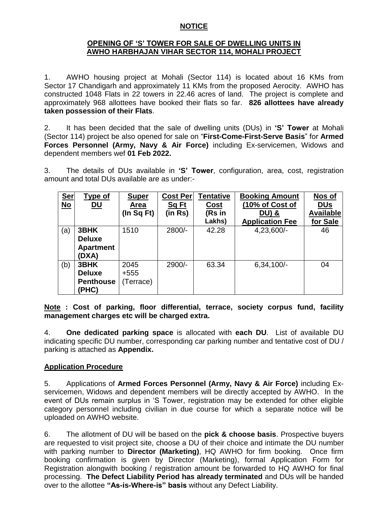#### **NOTICE**

### **OPENING OF "S" TOWER FOR SALE OF DWELLING UNITS IN AWHO HARBHAJAN VIHAR SECTOR 114, MOHALI PROJECT**

1. AWHO housing project at Mohali (Sector 114) is located about 16 KMs from Sector 17 Chandigarh and approximately 11 KMs from the proposed Aerocity. AWHO has constructed 1048 Flats in 22 towers in 22.46 acres of land. The project is complete and approximately 968 allottees have booked their flats so far. **826 allottees have already taken possession of their Flats**.

2. It has been decided that the sale of dwelling units (DUs) in **"S" Tower** at Mohali (Sector 114) project be also opened for sale on "**First-Come-First-Serve Basis**" for **Armed Forces Personnel (Army, Navy & Air Force)** including Ex-servicemen, Widows and dependent members wef **01 Feb 2022.**

3. The details of DUs available in **"S" Tower**, configuration, area, cost, registration amount and total DUs available are as under:-

| <u>Ser</u><br><u>No</u> | <b>Type of</b><br><u>DU</u>                        | <b>Super</b><br><b>Area</b><br>(In $Sq Ft$ ) | <b>Cost Per</b><br><b>Sq Ft</b><br>(in Rs) | Tentative<br>Cost<br>(Rs in<br>Lakhs) | <b>Booking Amount</b><br>(10% of Cost of<br><b>DU) &amp;</b><br><b>Application Fee</b> | Nos of<br><b>DUs</b><br><b>Available</b><br>for Sale |
|-------------------------|----------------------------------------------------|----------------------------------------------|--------------------------------------------|---------------------------------------|----------------------------------------------------------------------------------------|------------------------------------------------------|
| (a)                     | 3BHK<br><b>Deluxe</b><br><b>Apartment</b><br>(DXA) | 1510                                         | 2800/-                                     | 42.28                                 | 4,23,600/-                                                                             | 46                                                   |
| (b)                     | 3BHK<br><b>Deluxe</b><br><b>Penthouse</b><br>(PHC) | 2045<br>$+555$<br>(Terrace)                  | 2900/-                                     | 63.34                                 | $6,34,100/-$                                                                           | 04                                                   |

**Note : Cost of parking, floor differential, terrace, society corpus fund, facility management charges etc will be charged extra.** 

4. **One dedicated parking space** is allocated with **each DU**. List of available DU indicating specific DU number, corresponding car parking number and tentative cost of DU / parking is attached as **Appendix.**

# **Application Procedure**

5. Applications of **Armed Forces Personnel (Army, Navy & Air Force)** including Exservicemen, Widows and dependent members will be directly accepted by AWHO. In the event of DUs remain surplus in "S Tower, registration may be extended for other eligible category personnel including civilian in due course for which a separate notice will be uploaded on AWHO website.

6. The allotment of DU will be based on the **pick & choose basis**. Prospective buyers are requested to visit project site, choose a DU of their choice and intimate the DU number with parking number to **Director (Marketing)**, HQ AWHO for firm booking. Once firm booking confirmation is given by Director (Marketing), formal Application Form for Registration alongwith booking / registration amount be forwarded to HQ AWHO for final processing. **The Defect Liability Period has already terminated** and DUs will be handed over to the allottee **"As-is-Where-is" basis** without any Defect Liability.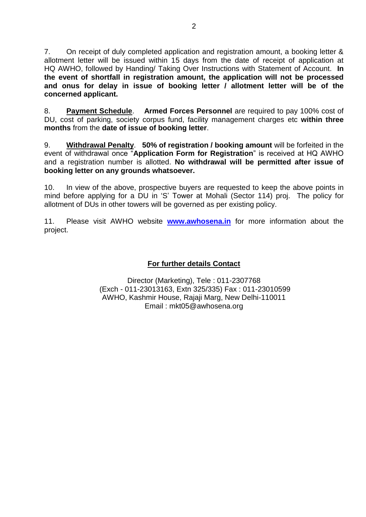7. On receipt of duly completed application and registration amount, a booking letter & allotment letter will be issued within 15 days from the date of receipt of application at HQ AWHO, followed by Handing/ Taking Over Instructions with Statement of Account. **In the event of shortfall in registration amount, the application will not be processed and onus for delay in issue of booking letter / allotment letter will be of the concerned applicant.**

8. **Payment Schedule**. **Armed Forces Personnel** are required to pay 100% cost of DU, cost of parking, society corpus fund, facility management charges etc **within three months** from the **date of issue of booking letter**.

9. **Withdrawal Penalty**. **50% of registration / booking amount** will be forfeited in the event of withdrawal once "**Application Form for Registration**" is received at HQ AWHO and a registration number is allotted. **No withdrawal will be permitted after issue of booking letter on any grounds whatsoever.**

10. In view of the above, prospective buyers are requested to keep the above points in mind before applying for a DU in "S" Tower at Mohali (Sector 114) proj. The policy for allotment of DUs in other towers will be governed as per existing policy.

11. Please visit AWHO website **[www.awhosena.in](http://www.awhosena.in/)** for more information about the project.

# **For further details Contact**

Director (Marketing), Tele : 011-2307768 (Exch - 011-23013163, Extn 325/335) Fax : 011-23010599 AWHO, Kashmir House, Rajaji Marg, New Delhi-110011 Email : mkt05@awhosena.org